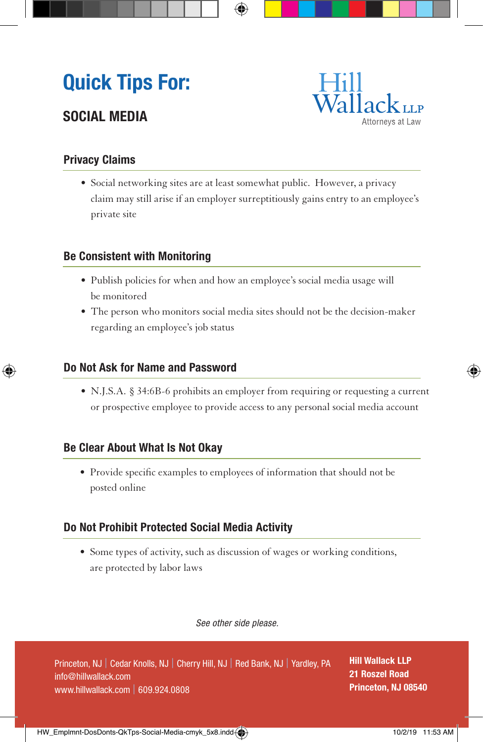## **Quick Tips For:**

### **SOCIAL MEDIA**



#### **Privacy Claims**

• Social networking sites are at least somewhat public. However, a privacy claim may still arise if an employer surreptitiously gains entry to an employee's private site

#### **Be Consistent with Monitoring**

- Publish policies for when and how an employee's social media usage will be monitored
- The person who monitors social media sites should not be the decision-maker regarding an employee's job status

#### **Do Not Ask for Name and Password**

• N.J.S.A. § 34:6B-6 prohibits an employer from requiring or requesting a current or prospective employee to provide access to any personal social media account

#### **Be Clear About What Is Not Okay**

• Provide specific examples to employees of information that should not be posted online

#### **Do Not Prohibit Protected Social Media Activity**

• Some types of activity, such as discussion of wages or working conditions, are protected by labor laws

 *See other side please.*

**Hill Wallack LLP 21 Roszel Road Princeton, NJ 08540**